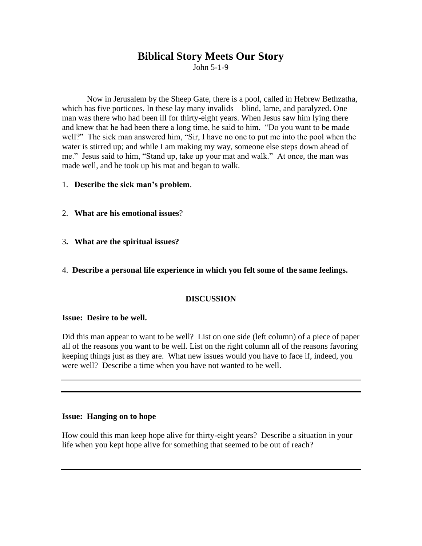# **Biblical Story Meets Our Story**

John 5-1-9

Now in Jerusalem by the Sheep Gate, there is a pool, called in Hebrew Bethzatha, which has five porticoes. In these lay many invalids—blind, lame, and paralyzed. One man was there who had been ill for thirty-eight years. When Jesus saw him lying there and knew that he had been there a long time, he said to him, "Do you want to be made well?" The sick man answered him, "Sir, I have no one to put me into the pool when the water is stirred up; and while I am making my way, someone else steps down ahead of me." Jesus said to him, "Stand up, take up your mat and walk." At once, the man was made well, and he took up his mat and began to walk.

1. **Describe the sick man's problem**.

- 2. **What are his emotional issues**?
- 3**. What are the spiritual issues?**
- 4. **Describe a personal life experience in which you felt some of the same feelings.**

## **DISCUSSION**

#### **Issue: Desire to be well.**

Did this man appear to want to be well? List on one side (left column) of a piece of paper all of the reasons you want to be well. List on the right column all of the reasons favoring keeping things just as they are. What new issues would you have to face if, indeed, you were well? Describe a time when you have not wanted to be well.

## **Issue: Hanging on to hope**

How could this man keep hope alive for thirty-eight years? Describe a situation in your life when you kept hope alive for something that seemed to be out of reach?